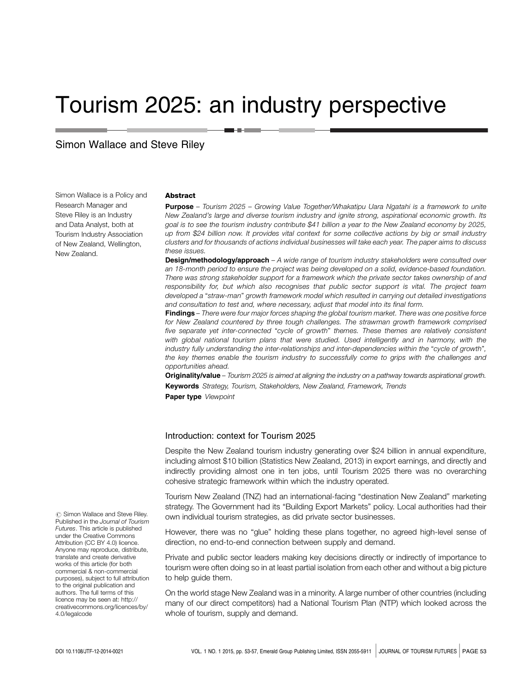# Tourism 2025: an industry perspective

# Simon Wallace and Steve Riley

Simon Wallace is a Policy and Research Manager and Steve Riley is an Industry and Data Analyst, both at Tourism Industry Association of New Zealand, Wellington, New Zealand.

#### Abstract

Purpose - Tourism 2025 - Growing Value Together/Whakatipu Uara Ngatahi is a framework to unite New Zealand's large and diverse tourism industry and ignite strong, aspirational economic growth. Its goal is to see the tourism industry contribute \$41 billion a year to the New Zealand economy by 2025, up from \$24 billion now. It provides vital context for some collective actions by big or small industry clusters and for thousands of actions individual businesses will take each year. The paper aims to discuss these issues.

**Design/methodology/approach** – A wide range of tourism industry stakeholders were consulted over an 18-month period to ensure the project was being developed on a solid, evidence-based foundation. There was strong stakeholder support for a framework which the private sector takes ownership of and responsibility for, but which also recognises that public sector support is vital. The project team developed a "straw-man" growth framework model which resulted in carrying out detailed investigations and consultation to test and, where necessary, adjust that model into its final form.

Findings – There were four major forces shaping the global tourism market. There was one positive force for New Zealand countered by three tough challenges. The strawman growth framework comprised five separate yet inter-connected "cycle of growth" themes. These themes are relatively consistent with global national tourism plans that were studied. Used intelligently and in harmony, with the industry fully understanding the inter-relationships and inter-dependencies within the "cycle of growth", the key themes enable the tourism industry to successfully come to grips with the challenges and opportunities ahead.

Originality/value - Tourism 2025 is aimed at aligning the industry on a pathway towards aspirational growth. Keywords Strategy, Tourism, Stakeholders, New Zealand, Framework, Trends

Paper type Viewpoint

#### Introduction: context for Tourism 2025

Despite the New Zealand tourism industry generating over \$24 billion in annual expenditure, including almost \$10 billion (Statistics New Zealand, 2013) in export earnings, and directly and indirectly providing almost one in ten jobs, until Tourism 2025 there was no overarching cohesive strategic framework within which the industry operated.

Tourism New Zealand (TNZ) had an international-facing "destination New Zealand" marketing strategy. The Government had its "Building Export Markets" policy. Local authorities had their own individual tourism strategies, as did private sector businesses.

However, there was no "glue" holding these plans together, no agreed high-level sense of direction, no end-to-end connection between supply and demand.

Private and public sector leaders making key decisions directly or indirectly of importance to tourism were often doing so in at least partial isolation from each other and without a big picture to help guide them.

On the world stage New Zealand was in a minority. A large number of other countries (including many of our direct competitors) had a National Tourism Plan (NTP) which looked across the whole of tourism, supply and demand.

 $\odot$  Simon Wallace and Steve Riley. Published in the Journal of Tourism Futures. This article is published under the Creative Commons Attribution (CC BY 4.0) licence. Anyone may reproduce, distribute, translate and create derivative works of this article (for both commercial & non-commercial purposes), subject to full attribution to the original publication and authors. The full terms of this licence may be seen at: http:// creativecommons.org/licences/by/ 4.0/legalcode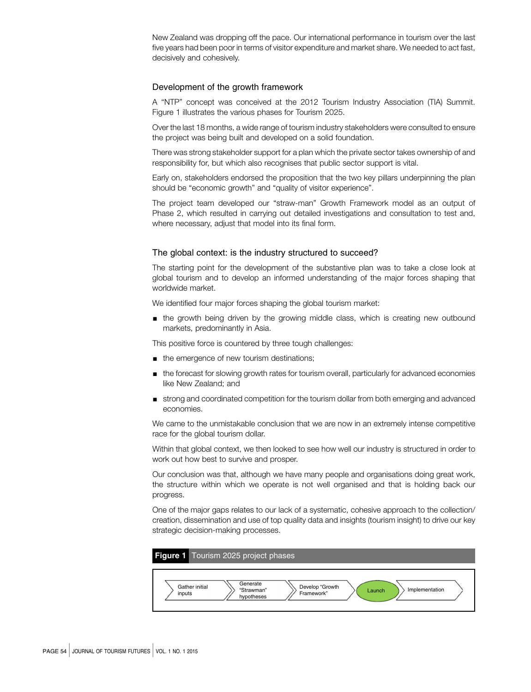New Zealand was dropping off the pace. Our international performance in tourism over the last five years had been poor in terms of visitor expenditure and market share. We needed to act fast, decisively and cohesively.

#### Development of the growth framework

A "NTP" concept was conceived at the 2012 Tourism Industry Association (TIA) Summit. Figure 1 illustrates the various phases for Tourism 2025.

Over the last 18 months, a wide range of tourism industry stakeholders were consulted to ensure the project was being built and developed on a solid foundation.

There was strong stakeholder support for a plan which the private sector takes ownership of and responsibility for, but which also recognises that public sector support is vital.

Early on, stakeholders endorsed the proposition that the two key pillars underpinning the plan should be "economic growth" and "quality of visitor experience".

The project team developed our "straw-man" Growth Framework model as an output of Phase 2, which resulted in carrying out detailed investigations and consultation to test and, where necessary, adjust that model into its final form.

#### The global context: is the industry structured to succeed?

The starting point for the development of the substantive plan was to take a close look at global tourism and to develop an informed understanding of the major forces shaping that worldwide market.

We identified four major forces shaping the global tourism market:

 $\blacksquare$  the growth being driven by the growing middle class, which is creating new outbound markets, predominantly in Asia.

This positive force is countered by three tough challenges:

- $\blacksquare$  the emergence of new tourism destinations;
- $\Box$  the forecast for slowing growth rates for tourism overall, particularly for advanced economies like New Zealand; and
- ' strong and coordinated competition for the tourism dollar from both emerging and advanced economies.

We came to the unmistakable conclusion that we are now in an extremely intense competitive race for the global tourism dollar.

Within that global context, we then looked to see how well our industry is structured in order to work out how best to survive and prosper.

Our conclusion was that, although we have many people and organisations doing great work, the structure within which we operate is not well organised and that is holding back our progress.

One of the major gaps relates to our lack of a systematic, cohesive approach to the collection/ creation, dissemination and use of top quality data and insights (tourism insight) to drive our key strategic decision-making processes.

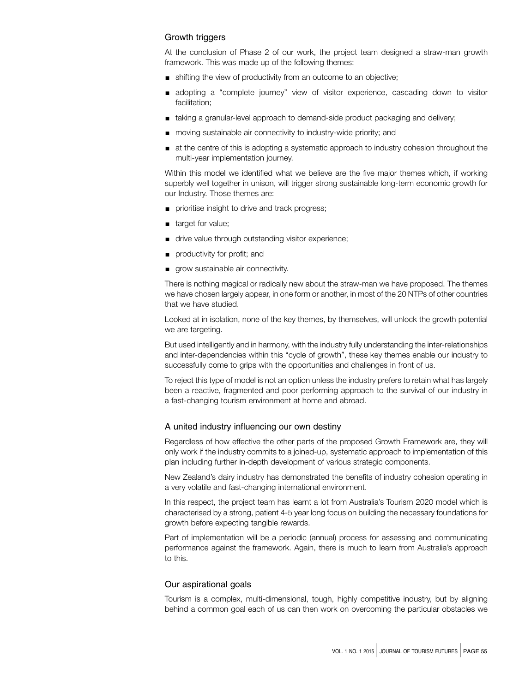## Growth triggers

At the conclusion of Phase 2 of our work, the project team designed a straw-man growth framework. This was made up of the following themes:

- ' shifting the view of productivity from an outcome to an objective;
- ' adopting a "complete journey" view of visitor experience, cascading down to visitor facilitation;
- ' taking a granular-level approach to demand-side product packaging and delivery;
- ' moving sustainable air connectivity to industry-wide priority; and
- $\blacksquare$  at the centre of this is adopting a systematic approach to industry cohesion throughout the multi-year implementation journey.

Within this model we identified what we believe are the five major themes which, if working superbly well together in unison, will trigger strong sustainable long-term economic growth for our Industry. Those themes are:

- prioritise insight to drive and track progress;
- **u** target for value;
- ' drive value through outstanding visitor experience;
- productivity for profit; and
- grow sustainable air connectivity.

There is nothing magical or radically new about the straw-man we have proposed. The themes we have chosen largely appear, in one form or another, in most of the 20 NTPs of other countries that we have studied.

Looked at in isolation, none of the key themes, by themselves, will unlock the growth potential we are targeting.

But used intelligently and in harmony, with the industry fully understanding the inter-relationships and inter-dependencies within this "cycle of growth", these key themes enable our industry to successfully come to grips with the opportunities and challenges in front of us.

To reject this type of model is not an option unless the industry prefers to retain what has largely been a reactive, fragmented and poor performing approach to the survival of our industry in a fast-changing tourism environment at home and abroad.

## A united industry influencing our own destiny

Regardless of how effective the other parts of the proposed Growth Framework are, they will only work if the industry commits to a joined-up, systematic approach to implementation of this plan including further in-depth development of various strategic components.

New Zealand's dairy industry has demonstrated the benefits of industry cohesion operating in a very volatile and fast-changing international environment.

In this respect, the project team has learnt a lot from Australia's Tourism 2020 model which is characterised by a strong, patient 4-5 year long focus on building the necessary foundations for growth before expecting tangible rewards.

Part of implementation will be a periodic (annual) process for assessing and communicating performance against the framework. Again, there is much to learn from Australia's approach to this.

# Our aspirational goals

Tourism is a complex, multi-dimensional, tough, highly competitive industry, but by aligning behind a common goal each of us can then work on overcoming the particular obstacles we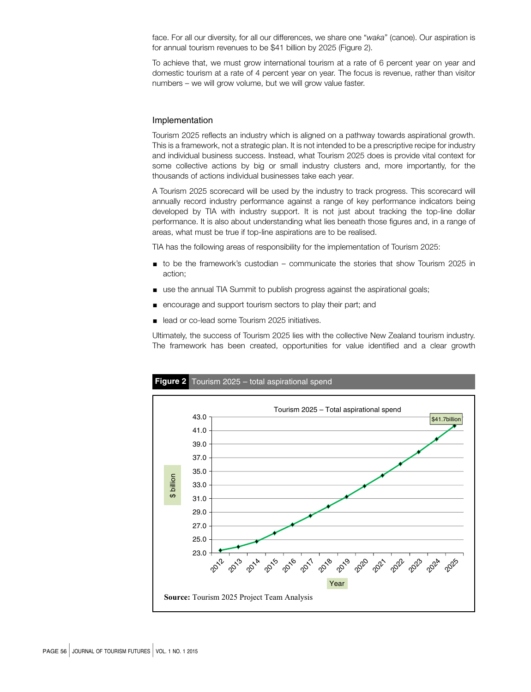face. For all our diversity, for all our differences, we share one "waka" (canoe). Our aspiration is for annual tourism revenues to be \$41 billion by 2025 (Figure 2).

To achieve that, we must grow international tourism at a rate of 6 percent year on year and domestic tourism at a rate of 4 percent year on year. The focus is revenue, rather than visitor numbers – we will grow volume, but we will grow value faster.

#### Implementation

Tourism 2025 reflects an industry which is aligned on a pathway towards aspirational growth. This is a framework, not a strategic plan. It is not intended to be a prescriptive recipe for industry and individual business success. Instead, what Tourism 2025 does is provide vital context for some collective actions by big or small industry clusters and, more importantly, for the thousands of actions individual businesses take each year.

A Tourism 2025 scorecard will be used by the industry to track progress. This scorecard will annually record industry performance against a range of key performance indicators being developed by TIA with industry support. It is not just about tracking the top-line dollar performance. It is also about understanding what lies beneath those figures and, in a range of areas, what must be true if top-line aspirations are to be realised.

TIA has the following areas of responsibility for the implementation of Tourism 2025:

- ' to be the framework's custodian communicate the stories that show Tourism 2025 in action;
- use the annual TIA Summit to publish progress against the aspirational goals;
- ' encourage and support tourism sectors to play their part; and
- lead or co-lead some Tourism 2025 initiatives.

Ultimately, the success of Tourism 2025 lies with the collective New Zealand tourism industry. The framework has been created, opportunities for value identified and a clear growth